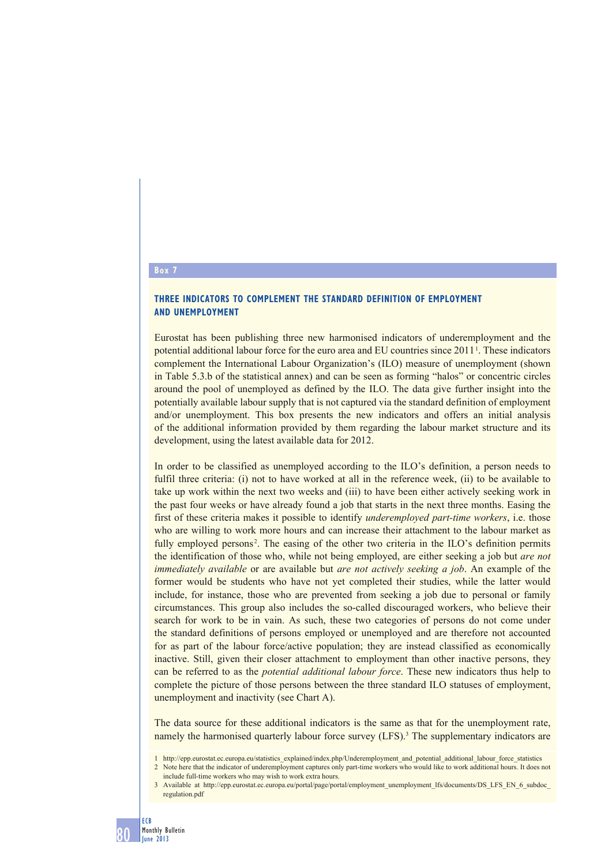# **Box 7**

## **THREE INDICATORS TO COMPLEMENT THE STANDARD DEFINITION OF EMPLOYMENT AND UNEMPLOYMENT**

Eurostat has been publishing three new harmonised indicators of underemployment and the potential additional labour force for the euro area and EU countries since 2011 1. These indicators complement the International Labour Organization's (ILO) measure of unemployment (shown in Table 5.3.b of the statistical annex) and can be seen as forming "halos" or concentric circles around the pool of unemployed as defined by the ILO. The data give further insight into the potentially available labour supply that is not captured via the standard definition of employment and/or unemployment. This box presents the new indicators and offers an initial analysis of the additional information provided by them regarding the labour market structure and its development, using the latest available data for 2012.

In order to be classified as unemployed according to the ILO's definition, a person needs to fulfil three criteria: (i) not to have worked at all in the reference week, (ii) to be available to take up work within the next two weeks and (iii) to have been either actively seeking work in the past four weeks or have already found a job that starts in the next three months. Easing the first of these criteria makes it possible to identify *underemployed part-time workers*, i.e. those who are willing to work more hours and can increase their attachment to the labour market as fully employed persons<sup>2</sup>. The easing of the other two criteria in the ILO's definition permits the identification of those who, while not being employed, are either seeking a job but *are not immediately available* or are available but *are not actively seeking a job*. An example of the former would be students who have not yet completed their studies, while the latter would include, for instance, those who are prevented from seeking a job due to personal or family circumstances. This group also includes the so-called discouraged workers, who believe their search for work to be in vain. As such, these two categories of persons do not come under the standard definitions of persons employed or unemployed and are therefore not accounted for as part of the labour force/active population; they are instead classified as economically inactive. Still, given their closer attachment to employment than other inactive persons, they can be referred to as the *potential additional labour force*. These new indicators thus help to complete the picture of those persons between the three standard ILO statuses of employment, unemployment and inactivity (see Chart A).

The data source for these additional indicators is the same as that for the unemployment rate, namely the harmonised quarterly labour force survey (LFS).<sup>3</sup> The supplementary indicators are

<sup>1</sup> http://epp.eurostat.ec.europa.eu/statistics\_explained/index.php/Underemployment\_and\_potential\_additional\_labour\_force\_statistics 2 Note here that the indicator of underemployment captures only part-time workers who would like to work additional hours. It does not include full-time workers who may wish to work extra hours.

<sup>3</sup> Available at http://epp.eurostat.ec.europa.eu/portal/page/portal/employment\_unemployment\_lfs/documents/DS\_LFS\_EN\_6\_subdoc regulation.pdf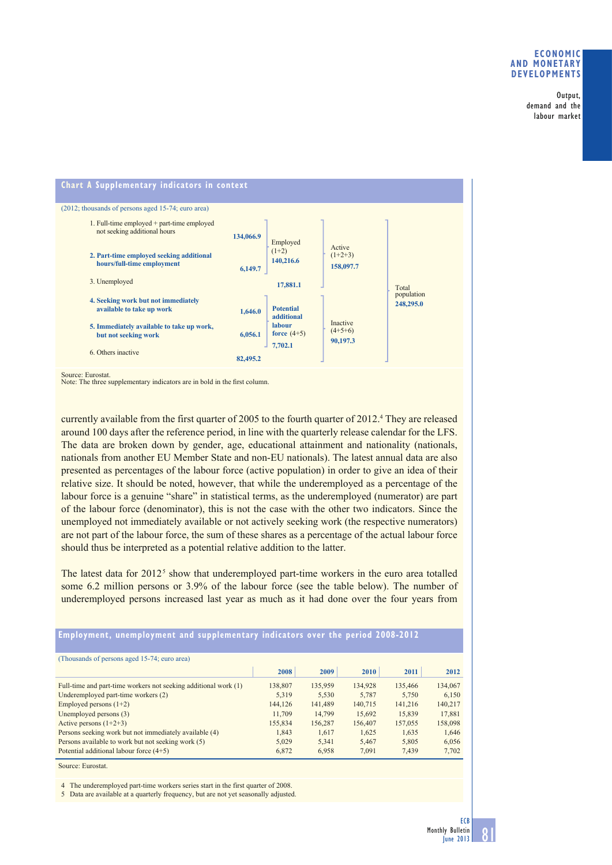### **ECONOMIC AND MONETARY DEVELOPMENTS**

Output, demand and the labour market



Source: Eurostat.<br>Note: The three supplementary indicators are in bold in the first column.

currently available from the first quarter of 2005 to the fourth quarter of 2012.<sup>4</sup> They are released around 100 days after the reference period, in line with the quarterly release calendar for the LFS. The data are broken down by gender, age, educational attainment and nationality (nationals, nationals from another EU Member State and non-EU nationals). The latest annual data are also presented as percentages of the labour force (active population) in order to give an idea of their relative size. It should be noted, however, that while the underemployed as a percentage of the labour force is a genuine "share" in statistical terms, as the underemployed (numerator) are part of the labour force (denominator), this is not the case with the other two indicators. Since the unemployed not immediately available or not actively seeking work (the respective numerators) are not part of the labour force, the sum of these shares as a percentage of the actual labour force should thus be interpreted as a potential relative addition to the latter.

The latest data for  $2012<sup>5</sup>$  show that underemployed part-time workers in the euro area totalled some 6.2 million persons or 3.9% of the labour force (see the table below). The number of underemployed persons increased last year as much as it had done over the four years from

## **Employment, unemployment and supplementary indicators over the period 2008-2012**

| (Thousands of persons aged 15-74; euro area)                    |         |         |         |         |         |
|-----------------------------------------------------------------|---------|---------|---------|---------|---------|
|                                                                 | 2008    | 2009    | 2010    | 2011    | 2012    |
| Full-time and part-time workers not seeking additional work (1) | 138,807 | 135,959 | 134.928 | 135.466 | 134,067 |
| Underemployed part-time workers (2)                             | 5,319   | 5,530   | 5,787   | 5,750   | 6,150   |
| Employed persons $(1+2)$                                        | 144,126 | 141.489 | 140,715 | 141.216 | 140,217 |
| Unemployed persons (3)                                          | 11.709  | 14.799  | 15,692  | 15,839  | 17,881  |
| Active persons $(1+2+3)$                                        | 155,834 | 156,287 | 156,407 | 157,055 | 158,098 |
| Persons seeking work but not immediately available (4)          | 1,843   | 1,617   | 1,625   | 1,635   | 1,646   |
| Persons available to work but not seeking work (5)              | 5,029   | 5.341   | 5.467   | 5,805   | 6,056   |
| Potential additional labour force $(4+5)$                       | 6,872   | 6,958   | 7.091   | 7.439   | 7,702   |

Source: Eurostat.

4 The underemployed part-time workers series start in the first quarter of 2008.

5 Data are available at a quarterly frequency, but are not yet seasonally adjusted.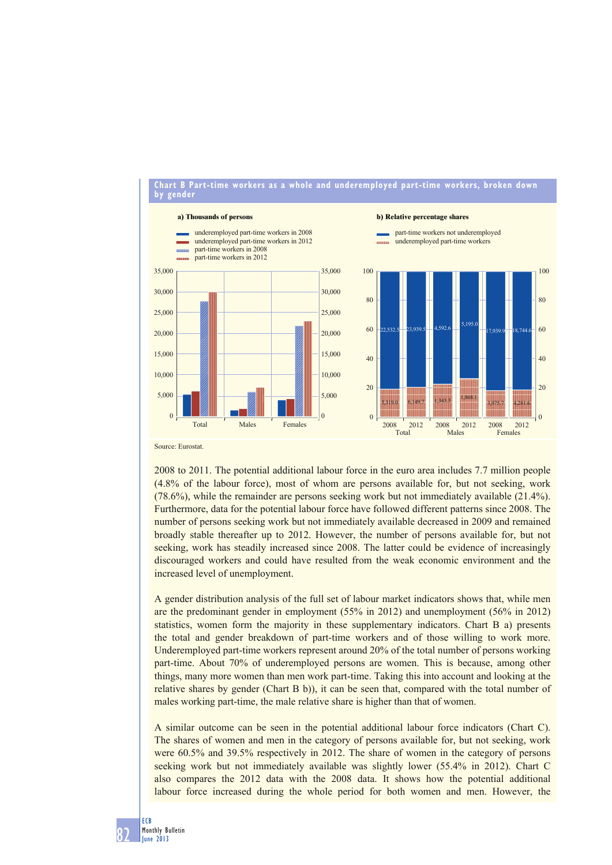

Source: Eurostat.

2008 to 2011. The potential additional labour force in the euro area includes 7.7 million people (4.8% of the labour force), most of whom are persons available for, but not seeking, work (78.6%), while the remainder are persons seeking work but not immediately available (21.4%). Furthermore, data for the potential labour force have followed different patterns since 2008. The number of persons seeking work but not immediately available decreased in 2009 and remained broadly stable thereafter up to 2012. However, the number of persons available for, but not seeking, work has steadily increased since 2008. The latter could be evidence of increasingly discouraged workers and could have resulted from the weak economic environment and the increased level of unemployment.

A gender distribution analysis of the full set of labour market indicators shows that, while men are the predominant gender in employment (55% in 2012) and unemployment (56% in 2012) statistics, women form the majority in these supplementary indicators. Chart B a) presents the total and gender breakdown of part-time workers and of those willing to work more. Underemployed part-time workers represent around 20% of the total number of persons working part-time. About 70% of underemployed persons are women. This is because, among other things, many more women than men work part-time. Taking this into account and looking at the relative shares by gender (Chart B b)), it can be seen that, compared with the total number of males working part-time, the male relative share is higher than that of women.

A similar outcome can be seen in the potential additional labour force indicators (Chart C). The shares of women and men in the category of persons available for, but not seeking, work were 60.5% and 39.5% respectively in 2012. The share of women in the category of persons seeking work but not immediately available was slightly lower (55.4% in 2012). Chart C also compares the 2012 data with the 2008 data. It shows how the potential additional labour force increased during the whole period for both women and men. However, the